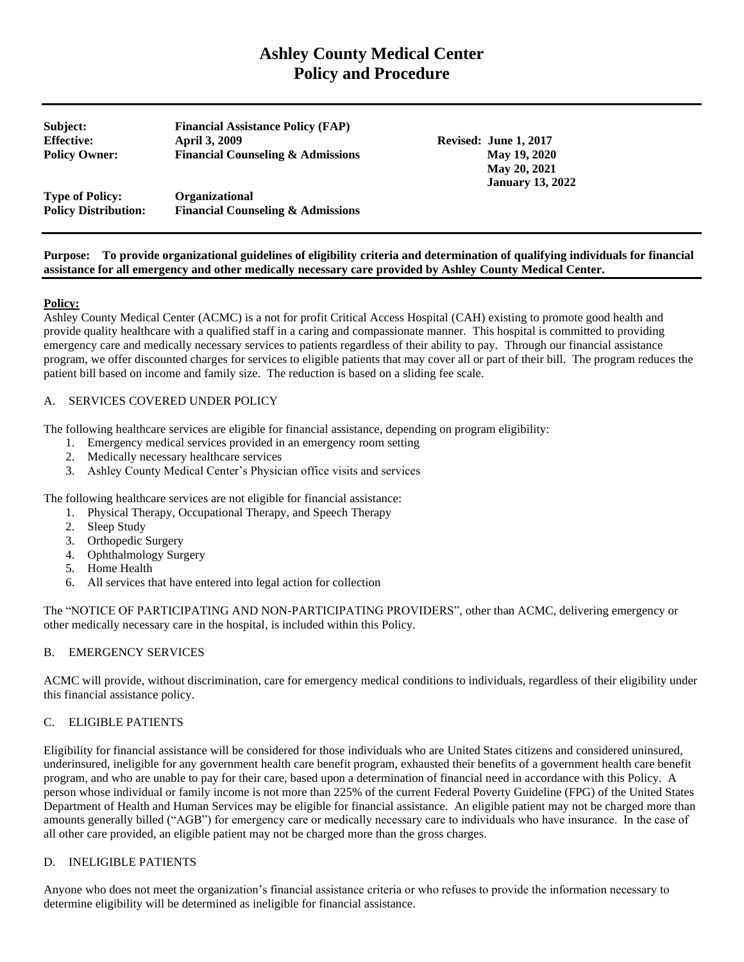# **Ashley County Medical Center Policy and Procedure**

**Subject: Financial Assistance Policy (FAP) Effective:** April 3, 2009 **Revised:** June 1, 2017 **Policy Owner: Financial Counseling & Admissions May 19, 2020**

 **May 20, 2021 January 13, 2022**

**Type of Policy: Organizational Policy Distribution: Financial Counseling & Admissions**

#### **Purpose: To provide organizational guidelines of eligibility criteria and determination of qualifying individuals for financial assistance for all emergency and other medically necessary care provided by Ashley County Medical Center.**

# **Policy:**

Ashley County Medical Center (ACMC) is a not for profit Critical Access Hospital (CAH) existing to promote good health and provide quality healthcare with a qualified staff in a caring and compassionate manner. This hospital is committed to providing emergency care and medically necessary services to patients regardless of their ability to pay. Through our financial assistance program, we offer discounted charges for services to eligible patients that may cover all or part of their bill. The program reduces the patient bill based on income and family size. The reduction is based on a sliding fee scale.

# A. SERVICES COVERED UNDER POLICY

The following healthcare services are eligible for financial assistance, depending on program eligibility:

- 1. Emergency medical services provided in an emergency room setting
- 2. Medically necessary healthcare services
- 3. Ashley County Medical Center's Physician office visits and services

The following healthcare services are not eligible for financial assistance:

- 1. Physical Therapy, Occupational Therapy, and Speech Therapy
- 2. Sleep Study
- 3. Orthopedic Surgery
- 4. Ophthalmology Surgery
- 5. Home Health
- 6. All services that have entered into legal action for collection

The "NOTICE OF PARTICIPATING AND NON-PARTICIPATING PROVIDERS", other than ACMC, delivering emergency or other medically necessary care in the hospital, is included within this Policy.

# B. EMERGENCY SERVICES

ACMC will provide, without discrimination, care for emergency medical conditions to individuals, regardless of their eligibility under this financial assistance policy.

# C. ELIGIBLE PATIENTS

Eligibility for financial assistance will be considered for those individuals who are United States citizens and considered uninsured, underinsured, ineligible for any government health care benefit program, exhausted their benefits of a government health care benefit program, and who are unable to pay for their care, based upon a determination of financial need in accordance with this Policy. A person whose individual or family income is not more than 225% of the current Federal Poverty Guideline (FPG) of the United States Department of Health and Human Services may be eligible for financial assistance. An eligible patient may not be charged more than amounts generally billed ("AGB") for emergency care or medically necessary care to individuals who have insurance. In the case of all other care provided, an eligible patient may not be charged more than the gross charges.

# D. INELIGIBLE PATIENTS

Anyone who does not meet the organization's financial assistance criteria or who refuses to provide the information necessary to determine eligibility will be determined as ineligible for financial assistance.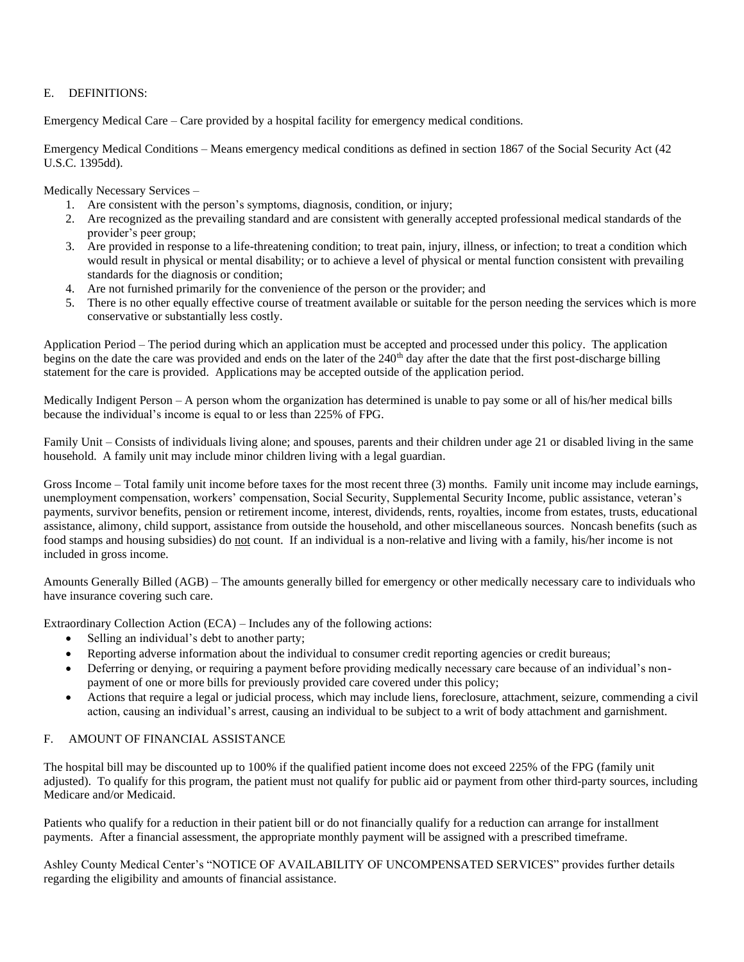# E. DEFINITIONS:

Emergency Medical Care – Care provided by a hospital facility for emergency medical conditions.

Emergency Medical Conditions – Means emergency medical conditions as defined in section 1867 of the Social Security Act (42 U.S.C. 1395dd).

Medically Necessary Services –

- 1. Are consistent with the person's symptoms, diagnosis, condition, or injury;
- 2. Are recognized as the prevailing standard and are consistent with generally accepted professional medical standards of the provider's peer group;
- 3. Are provided in response to a life-threatening condition; to treat pain, injury, illness, or infection; to treat a condition which would result in physical or mental disability; or to achieve a level of physical or mental function consistent with prevailing standards for the diagnosis or condition;
- 4. Are not furnished primarily for the convenience of the person or the provider; and
- 5. There is no other equally effective course of treatment available or suitable for the person needing the services which is more conservative or substantially less costly.

Application Period – The period during which an application must be accepted and processed under this policy. The application begins on the date the care was provided and ends on the later of the 240<sup>th</sup> day after the date that the first post-discharge billing statement for the care is provided. Applications may be accepted outside of the application period.

Medically Indigent Person – A person whom the organization has determined is unable to pay some or all of his/her medical bills because the individual's income is equal to or less than 225% of FPG.

Family Unit – Consists of individuals living alone; and spouses, parents and their children under age 21 or disabled living in the same household. A family unit may include minor children living with a legal guardian.

Gross Income – Total family unit income before taxes for the most recent three (3) months. Family unit income may include earnings, unemployment compensation, workers' compensation, Social Security, Supplemental Security Income, public assistance, veteran's payments, survivor benefits, pension or retirement income, interest, dividends, rents, royalties, income from estates, trusts, educational assistance, alimony, child support, assistance from outside the household, and other miscellaneous sources. Noncash benefits (such as food stamps and housing subsidies) do not count. If an individual is a non-relative and living with a family, his/her income is not included in gross income.

Amounts Generally Billed (AGB) – The amounts generally billed for emergency or other medically necessary care to individuals who have insurance covering such care.

Extraordinary Collection Action (ECA) – Includes any of the following actions:

- Selling an individual's debt to another party;
- Reporting adverse information about the individual to consumer credit reporting agencies or credit bureaus;
- Deferring or denying, or requiring a payment before providing medically necessary care because of an individual's nonpayment of one or more bills for previously provided care covered under this policy;
- Actions that require a legal or judicial process, which may include liens, foreclosure, attachment, seizure, commending a civil action, causing an individual's arrest, causing an individual to be subject to a writ of body attachment and garnishment.

# F. AMOUNT OF FINANCIAL ASSISTANCE

The hospital bill may be discounted up to 100% if the qualified patient income does not exceed 225% of the FPG (family unit adjusted). To qualify for this program, the patient must not qualify for public aid or payment from other third-party sources, including Medicare and/or Medicaid.

Patients who qualify for a reduction in their patient bill or do not financially qualify for a reduction can arrange for installment payments. After a financial assessment, the appropriate monthly payment will be assigned with a prescribed timeframe.

Ashley County Medical Center's "NOTICE OF AVAILABILITY OF UNCOMPENSATED SERVICES" provides further details regarding the eligibility and amounts of financial assistance.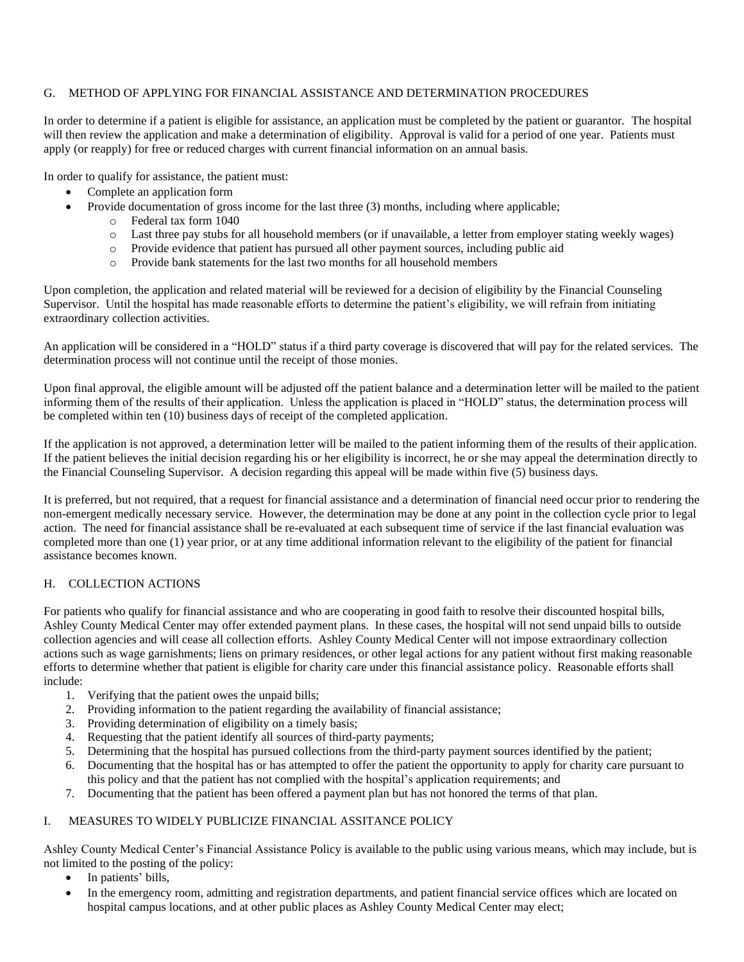# G. METHOD OF APPLYING FOR FINANCIAL ASSISTANCE AND DETERMINATION PROCEDURES

In order to determine if a patient is eligible for assistance, an application must be completed by the patient or guarantor. The hospital will then review the application and make a determination of eligibility. Approval is valid for a period of one year. Patients must apply (or reapply) for free or reduced charges with current financial information on an annual basis.

In order to qualify for assistance, the patient must:

- Complete an application form
- Provide documentation of gross income for the last three (3) months, including where applicable;
	- o Federal tax form 1040
	- o Last three pay stubs for all household members (or if unavailable, a letter from employer stating weekly wages)
	- o Provide evidence that patient has pursued all other payment sources, including public aid
	- o Provide bank statements for the last two months for all household members

Upon completion, the application and related material will be reviewed for a decision of eligibility by the Financial Counseling Supervisor. Until the hospital has made reasonable efforts to determine the patient's eligibility, we will refrain from initiating extraordinary collection activities.

An application will be considered in a "HOLD" status if a third party coverage is discovered that will pay for the related services. The determination process will not continue until the receipt of those monies.

Upon final approval, the eligible amount will be adjusted off the patient balance and a determination letter will be mailed to the patient informing them of the results of their application. Unless the application is placed in "HOLD" status, the determination process will be completed within ten (10) business days of receipt of the completed application.

If the application is not approved, a determination letter will be mailed to the patient informing them of the results of their application. If the patient believes the initial decision regarding his or her eligibility is incorrect, he or she may appeal the determination directly to the Financial Counseling Supervisor. A decision regarding this appeal will be made within five (5) business days.

It is preferred, but not required, that a request for financial assistance and a determination of financial need occur prior to rendering the non-emergent medically necessary service. However, the determination may be done at any point in the collection cycle prior to legal action. The need for financial assistance shall be re-evaluated at each subsequent time of service if the last financial evaluation was completed more than one (1) year prior, or at any time additional information relevant to the eligibility of the patient for financial assistance becomes known.

# H. COLLECTION ACTIONS

For patients who qualify for financial assistance and who are cooperating in good faith to resolve their discounted hospital bills, Ashley County Medical Center may offer extended payment plans. In these cases, the hospital will not send unpaid bills to outside collection agencies and will cease all collection efforts. Ashley County Medical Center will not impose extraordinary collection actions such as wage garnishments; liens on primary residences, or other legal actions for any patient without first making reasonable efforts to determine whether that patient is eligible for charity care under this financial assistance policy. Reasonable efforts shall include:

- 1. Verifying that the patient owes the unpaid bills;
- 2. Providing information to the patient regarding the availability of financial assistance;
- 3. Providing determination of eligibility on a timely basis;
- 4. Requesting that the patient identify all sources of third-party payments;
- 5. Determining that the hospital has pursued collections from the third-party payment sources identified by the patient;
- 6. Documenting that the hospital has or has attempted to offer the patient the opportunity to apply for charity care pursuant to this policy and that the patient has not complied with the hospital's application requirements; and
- 7. Documenting that the patient has been offered a payment plan but has not honored the terms of that plan.

# I. MEASURES TO WIDELY PUBLICIZE FINANCIAL ASSITANCE POLICY

Ashley County Medical Center's Financial Assistance Policy is available to the public using various means, which may include, but is not limited to the posting of the policy:

- In patients' bills.
- In the emergency room, admitting and registration departments, and patient financial service offices which are located on hospital campus locations, and at other public places as Ashley County Medical Center may elect;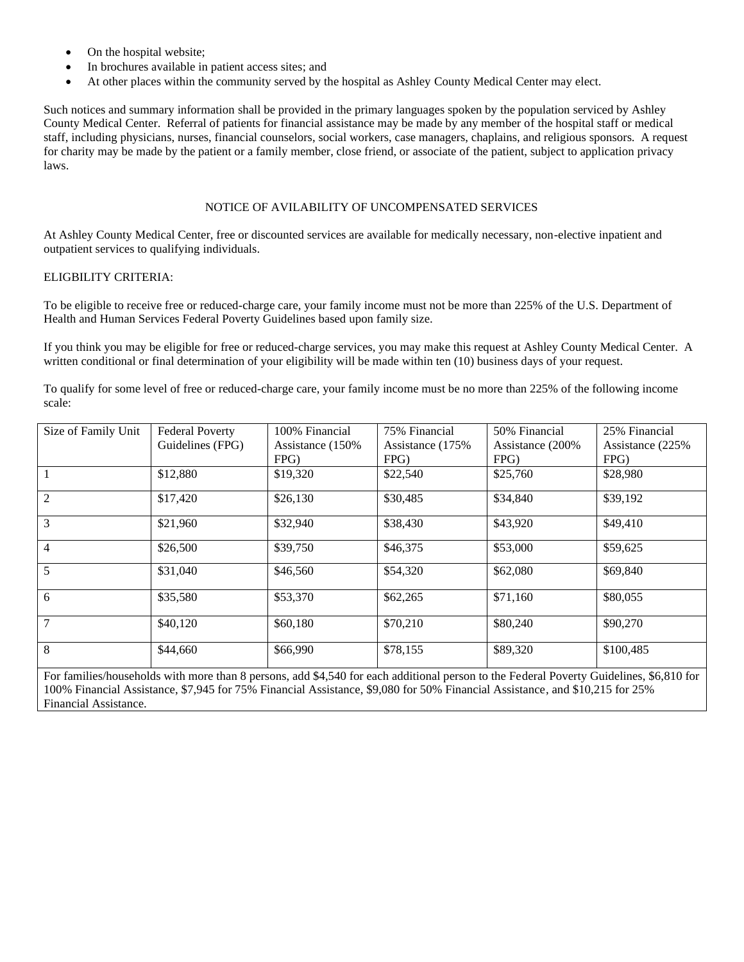- On the hospital website;
- In brochures available in patient access sites; and
- At other places within the community served by the hospital as Ashley County Medical Center may elect.

Such notices and summary information shall be provided in the primary languages spoken by the population serviced by Ashley County Medical Center. Referral of patients for financial assistance may be made by any member of the hospital staff or medical staff, including physicians, nurses, financial counselors, social workers, case managers, chaplains, and religious sponsors. A request for charity may be made by the patient or a family member, close friend, or associate of the patient, subject to application privacy laws.

# NOTICE OF AVILABILITY OF UNCOMPENSATED SERVICES

At Ashley County Medical Center, free or discounted services are available for medically necessary, non-elective inpatient and outpatient services to qualifying individuals.

#### ELIGBILITY CRITERIA:

To be eligible to receive free or reduced-charge care, your family income must not be more than 225% of the U.S. Department of Health and Human Services Federal Poverty Guidelines based upon family size.

If you think you may be eligible for free or reduced-charge services, you may make this request at Ashley County Medical Center. A written conditional or final determination of your eligibility will be made within ten (10) business days of your request.

To qualify for some level of free or reduced-charge care, your family income must be no more than 225% of the following income scale:

| Size of Family Unit | <b>Federal Poverty</b> | 100% Financial    | 75% Financial     | 50% Financial     | 25% Financial     |
|---------------------|------------------------|-------------------|-------------------|-------------------|-------------------|
|                     | Guidelines (FPG)       | Assistance (150%) | Assistance (175%) | Assistance (200%) | Assistance (225%) |
|                     |                        | FPG               | FPG)              | FPG               | FPG               |
|                     | \$12,880               | \$19,320          | \$22,540          | \$25,760          | \$28,980          |
| $\mathfrak{D}$      | \$17,420               | \$26,130          | \$30,485          | \$34,840          | \$39,192          |
| 3                   | \$21,960               | \$32,940          | \$38,430          | \$43,920          | \$49,410          |
| 4                   | \$26,500               | \$39,750          | \$46,375          | \$53,000          | \$59,625          |
| 5                   | \$31,040               | \$46,560          | \$54,320          | \$62,080          | \$69,840          |
| 6                   | \$35,580               | \$53,370          | \$62,265          | \$71,160          | \$80,055          |
| $\overline{7}$      | \$40,120               | \$60,180          | \$70,210          | \$80,240          | \$90,270          |
| 8                   | \$44,660               | \$66,990          | \$78,155          | \$89,320          | \$100,485         |

For families/households with more than 8 persons, add \$4,540 for each additional person to the Federal Poverty Guidelines, \$6,810 for 100% Financial Assistance, \$7,945 for 75% Financial Assistance, \$9,080 for 50% Financial Assistance, and \$10,215 for 25% Financial Assistance.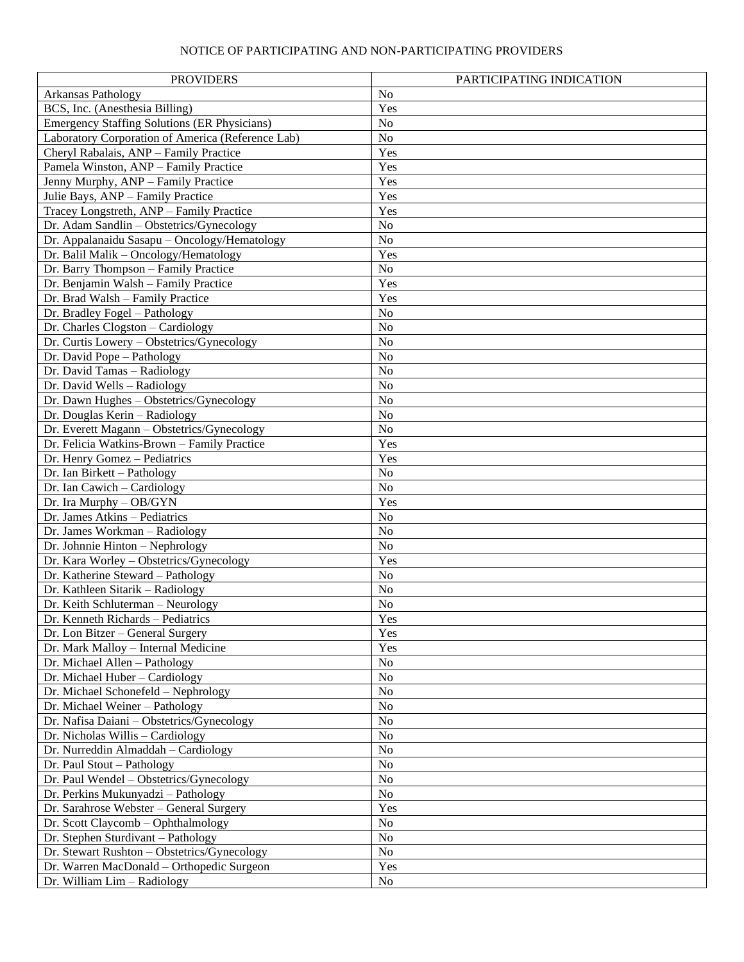# NOTICE OF PARTICIPATING AND NON-PARTICIPATING PROVIDERS

| <b>PROVIDERS</b>                                    | PARTICIPATING INDICATION |  |  |  |
|-----------------------------------------------------|--------------------------|--|--|--|
| Arkansas Pathology                                  | N <sub>o</sub>           |  |  |  |
| BCS, Inc. (Anesthesia Billing)                      | Yes                      |  |  |  |
| <b>Emergency Staffing Solutions (ER Physicians)</b> | No                       |  |  |  |
| Laboratory Corporation of America (Reference Lab)   | No                       |  |  |  |
| Cheryl Rabalais, ANP - Family Practice              | Yes                      |  |  |  |
| Pamela Winston, ANP - Family Practice               | Yes                      |  |  |  |
| Jenny Murphy, ANP - Family Practice                 | Yes                      |  |  |  |
| Julie Bays, ANP - Family Practice                   | Yes                      |  |  |  |
| Tracey Longstreth, ANP - Family Practice            | Yes                      |  |  |  |
| Dr. Adam Sandlin - Obstetrics/Gynecology            | No                       |  |  |  |
| Dr. Appalanaidu Sasapu - Oncology/Hematology        | No                       |  |  |  |
| Dr. Balil Malik - Oncology/Hematology               | Yes                      |  |  |  |
| Dr. Barry Thompson - Family Practice                | No                       |  |  |  |
| Dr. Benjamin Walsh - Family Practice                | Yes                      |  |  |  |
| Dr. Brad Walsh - Family Practice                    | Yes                      |  |  |  |
| Dr. Bradley Fogel - Pathology                       | No                       |  |  |  |
| Dr. Charles Clogston - Cardiology                   | No                       |  |  |  |
| Dr. Curtis Lowery - Obstetrics/Gynecology           | No                       |  |  |  |
| Dr. David Pope - Pathology                          | No                       |  |  |  |
| Dr. David Tamas - Radiology                         | No                       |  |  |  |
| Dr. David Wells - Radiology                         | No                       |  |  |  |
| Dr. Dawn Hughes - Obstetrics/Gynecology             | No                       |  |  |  |
| Dr. Douglas Kerin - Radiology                       | No                       |  |  |  |
| Dr. Everett Magann - Obstetrics/Gynecology          | No                       |  |  |  |
| Dr. Felicia Watkins-Brown - Family Practice         | Yes                      |  |  |  |
| Dr. Henry Gomez - Pediatrics                        | Yes                      |  |  |  |
| Dr. Ian Birkett - Pathology                         | No                       |  |  |  |
| $\overline{\text{Dr.}}$ Ian Cawich - Cardiology     | No                       |  |  |  |
| Dr. Ira Murphy - OB/GYN                             | Yes                      |  |  |  |
| Dr. James Atkins - Pediatrics                       | No                       |  |  |  |
| Dr. James Workman - Radiology                       | No                       |  |  |  |
| Dr. Johnnie Hinton - Nephrology                     | No                       |  |  |  |
| Dr. Kara Worley - Obstetrics/Gynecology             | Yes                      |  |  |  |
| Dr. Katherine Steward - Pathology                   | No                       |  |  |  |
| Dr. Kathleen Sitarik - Radiology                    | No                       |  |  |  |
| Dr. Keith Schluterman - Neurology                   | No                       |  |  |  |
| Dr. Kenneth Richards - Pediatrics                   | Yes                      |  |  |  |
| Dr. Lon Bitzer – General Surgery                    | Yes                      |  |  |  |
| Dr. Mark Malloy - Internal Medicine                 | Yes                      |  |  |  |
| Dr. Michael Allen - Pathology                       | No                       |  |  |  |
| Dr. Michael Huber - Cardiology                      | No                       |  |  |  |
| Dr. Michael Schonefeld - Nephrology                 | No                       |  |  |  |
| Dr. Michael Weiner - Pathology                      | No                       |  |  |  |
| Dr. Nafisa Daiani - Obstetrics/Gynecology           | No                       |  |  |  |
| Dr. Nicholas Willis - Cardiology                    | No                       |  |  |  |
| Dr. Nurreddin Almaddah - Cardiology                 | No                       |  |  |  |
| Dr. Paul Stout - Pathology                          | No                       |  |  |  |
| Dr. Paul Wendel - Obstetrics/Gynecology             | No                       |  |  |  |
| Dr. Perkins Mukunyadzi - Pathology                  | No                       |  |  |  |
| Dr. Sarahrose Webster - General Surgery             | Yes                      |  |  |  |
| Dr. Scott Claycomb - Ophthalmology                  | No                       |  |  |  |
| Dr. Stephen Sturdivant - Pathology                  | No                       |  |  |  |
| Dr. Stewart Rushton - Obstetrics/Gynecology         | No                       |  |  |  |
| Dr. Warren MacDonald - Orthopedic Surgeon           | Yes                      |  |  |  |
| Dr. William Lim - Radiology                         | N <sub>0</sub>           |  |  |  |